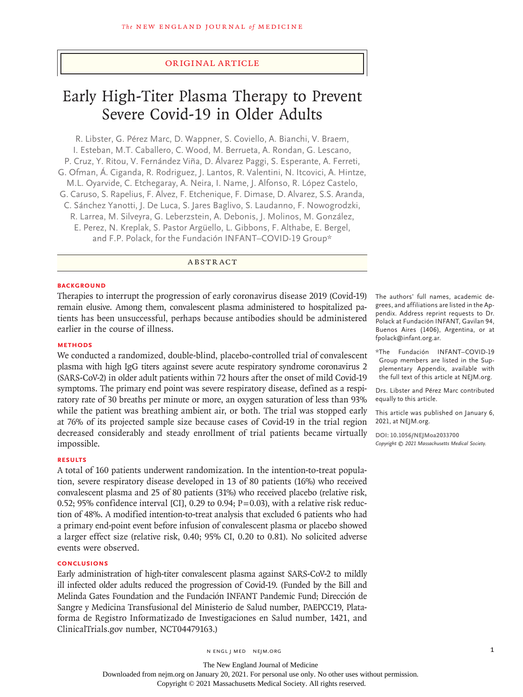# Original Article

# Early High-Titer Plasma Therapy to Prevent Severe Covid-19 in Older Adults

R. Libster, G. Pérez Marc, D. Wappner, S. Coviello, A. Bianchi, V. Braem, I. Esteban, M.T. Caballero, C. Wood, M. Berrueta, A. Rondan, G. Lescano, P. Cruz, Y. Ritou, V. Fernández Viña, D. Álvarez Paggi, S. Esperante, A. Ferreti, G. Ofman, Á. Ciganda, R. Rodriguez, J. Lantos, R. Valentini, N. Itcovici, A. Hintze, M.L. Oyarvide, C. Etchegaray, A. Neira, I. Name, J. Alfonso, R. López Castelo, G. Caruso, S. Rapelius, F. Alvez, F. Etchenique, F. Dimase, D. Alvarez, S.S. Aranda, C. Sánchez Yanotti, J. De Luca, S. Jares Baglivo, S. Laudanno, F. Nowogrodzki, R. Larrea, M. Silveyra, G. Leberzstein, A. Debonis, J. Molinos, M. González, E. Perez, N. Kreplak, S. Pastor Argüello, L. Gibbons, F. Althabe, E. Bergel, and F.P. Polack, for the Fundación INFANT–COVID-19 Group\*

# ABSTRACT

#### **BACKGROUND**

Therapies to interrupt the progression of early coronavirus disease 2019 (Covid-19) remain elusive. Among them, convalescent plasma administered to hospitalized patients has been unsuccessful, perhaps because antibodies should be administered earlier in the course of illness.

# **METHODS**

We conducted a randomized, double-blind, placebo-controlled trial of convalescent plasma with high IgG titers against severe acute respiratory syndrome coronavirus 2 (SARS-CoV-2) in older adult patients within 72 hours after the onset of mild Covid-19 symptoms. The primary end point was severe respiratory disease, defined as a respiratory rate of 30 breaths per minute or more, an oxygen saturation of less than 93% while the patient was breathing ambient air, or both. The trial was stopped early at 76% of its projected sample size because cases of Covid-19 in the trial region decreased considerably and steady enrollment of trial patients became virtually impossible.

#### **RESULTS**

A total of 160 patients underwent randomization. In the intention-to-treat population, severe respiratory disease developed in 13 of 80 patients (16%) who received convalescent plasma and 25 of 80 patients (31%) who received placebo (relative risk, 0.52; 95% confidence interval [CI], 0.29 to 0.94;  $P=0.03$ ), with a relative risk reduction of 48%. A modified intention-to-treat analysis that excluded 6 patients who had a primary end-point event before infusion of convalescent plasma or placebo showed a larger effect size (relative risk, 0.40; 95% CI, 0.20 to 0.81). No solicited adverse events were observed.

# **CONCLUSIONS**

Early administration of high-titer convalescent plasma against SARS-CoV-2 to mildly ill infected older adults reduced the progression of Covid-19. (Funded by the Bill and Melinda Gates Foundation and the Fundación INFANT Pandemic Fund; Dirección de Sangre y Medicina Transfusional del Ministerio de Salud number, PAEPCC19, Plataforma de Registro Informatizado de Investigaciones en Salud number, 1421, and ClinicalTrials.gov number, NCT04479163.)

The authors' full names, academic degrees, and affiliations are listed in the Appendix. Address reprint requests to Dr. Polack at Fundación INFANT, Gavilan 94, Buenos Aires (1406), Argentina, or at fpolack@infant.org.ar.

\*The Fundación INFANT–COVID-19 Group members are listed in the Supplementary Appendix, available with the full text of this article at NEJM.org.

Drs. Libster and Pérez Marc contributed equally to this article.

This article was published on January 6, 2021, at NEJM.org.

**DOI: 10.1056/NEJMoa2033700** *Copyright © 2021 Massachusetts Medical Society.*

The New England Journal of Medicine Downloaded from nejm.org on January 20, 2021. For personal use only. No other uses without permission. Copyright © 2021 Massachusetts Medical Society. All rights reserved.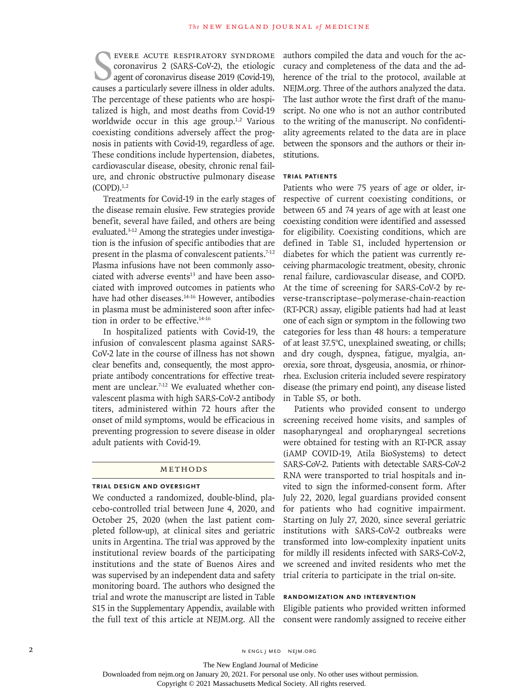EVERE ACUTE RESPIRATORY SYNDROME CORONATIONS 2 (SARS-COV-2), the etiologic agent of coronavirus disease 2019 (Covid-19), causes a particularly severe illness in older adults. evere acute respiratory syndrome coronavirus 2 (SARS-CoV-2), the etiologic agent of coronavirus disease 2019 (Covid-19), The percentage of these patients who are hospitalized is high, and most deaths from Covid-19 worldwide occur in this age group.<sup>1,2</sup> Various coexisting conditions adversely affect the prognosis in patients with Covid-19, regardless of age. These conditions include hypertension, diabetes, cardiovascular disease, obesity, chronic renal failure, and chronic obstructive pulmonary disease  $(COPD).<sup>1,2</sup>$ 

Treatments for Covid-19 in the early stages of the disease remain elusive. Few strategies provide benefit, several have failed, and others are being evaluated.3-12 Among the strategies under investigation is the infusion of specific antibodies that are present in the plasma of convalescent patients.<sup>7-12</sup> Plasma infusions have not been commonly associated with adverse events $13$  and have been associated with improved outcomes in patients who have had other diseases.<sup>14-16</sup> However, antibodies in plasma must be administered soon after infection in order to be effective.14-16

In hospitalized patients with Covid-19, the infusion of convalescent plasma against SARS-CoV-2 late in the course of illness has not shown clear benefits and, consequently, the most appropriate antibody concentrations for effective treatment are unclear.<sup>7-12</sup> We evaluated whether convalescent plasma with high SARS-CoV-2 antibody titers, administered within 72 hours after the onset of mild symptoms, would be efficacious in preventing progression to severe disease in older adult patients with Covid-19.

# Methods

#### **Trial Design and Oversight**

We conducted a randomized, double-blind, placebo-controlled trial between June 4, 2020, and October 25, 2020 (when the last patient completed follow-up), at clinical sites and geriatric units in Argentina. The trial was approved by the institutional review boards of the participating institutions and the state of Buenos Aires and was supervised by an independent data and safety monitoring board. The authors who designed the trial and wrote the manuscript are listed in Table S15 in the Supplementary Appendix, available with the full text of this article at NEJM.org. All the authors compiled the data and vouch for the accuracy and completeness of the data and the adherence of the trial to the protocol, available at NEJM.org. Three of the authors analyzed the data. The last author wrote the first draft of the manuscript. No one who is not an author contributed to the writing of the manuscript. No confidentiality agreements related to the data are in place between the sponsors and the authors or their institutions.

### **Trial Patients**

Patients who were 75 years of age or older, irrespective of current coexisting conditions, or between 65 and 74 years of age with at least one coexisting condition were identified and assessed for eligibility. Coexisting conditions, which are defined in Table S1, included hypertension or diabetes for which the patient was currently receiving pharmacologic treatment, obesity, chronic renal failure, cardiovascular disease, and COPD. At the time of screening for SARS-CoV-2 by reverse-transcriptase–polymerase-chain-reaction (RT-PCR) assay, eligible patients had had at least one of each sign or symptom in the following two categories for less than 48 hours: a temperature of at least 37.5°C, unexplained sweating, or chills; and dry cough, dyspnea, fatigue, myalgia, anorexia, sore throat, dysgeusia, anosmia, or rhinorrhea. Exclusion criteria included severe respiratory disease (the primary end point), any disease listed in Table S5, or both.

Patients who provided consent to undergo screening received home visits, and samples of nasopharyngeal and oropharyngeal secretions were obtained for testing with an RT-PCR assay (iAMP COVID-19, Atila BioSystems) to detect SARS-CoV-2. Patients with detectable SARS-CoV-2 RNA were transported to trial hospitals and invited to sign the informed-consent form. After July 22, 2020, legal guardians provided consent for patients who had cognitive impairment. Starting on July 27, 2020, since several geriatric institutions with SARS-CoV-2 outbreaks were transformed into low-complexity inpatient units for mildly ill residents infected with SARS-CoV-2, we screened and invited residents who met the trial criteria to participate in the trial on-site.

# **Randomization and Intervention**

Eligible patients who provided written informed consent were randomly assigned to receive either

The New England Journal of Medicine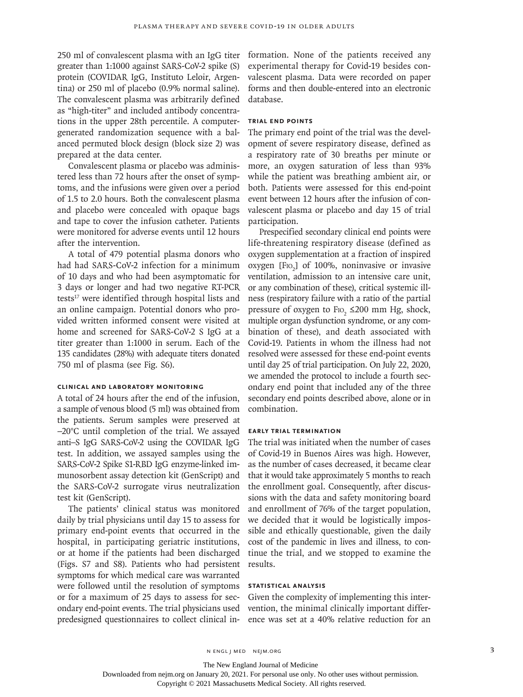250 ml of convalescent plasma with an IgG titer greater than 1:1000 against SARS-CoV-2 spike (S) protein (COVIDAR IgG, Instituto Leloir, Argentina) or 250 ml of placebo (0.9% normal saline). The convalescent plasma was arbitrarily defined as "high-titer" and included antibody concentrations in the upper 28th percentile. A computergenerated randomization sequence with a balanced permuted block design (block size 2) was prepared at the data center.

Convalescent plasma or placebo was administered less than 72 hours after the onset of symptoms, and the infusions were given over a period of 1.5 to 2.0 hours. Both the convalescent plasma and placebo were concealed with opaque bags and tape to cover the infusion catheter. Patients were monitored for adverse events until 12 hours after the intervention.

A total of 479 potential plasma donors who had had SARS-CoV-2 infection for a minimum of 10 days and who had been asymptomatic for 3 days or longer and had two negative RT-PCR tests<sup>17</sup> were identified through hospital lists and an online campaign. Potential donors who provided written informed consent were visited at home and screened for SARS-CoV-2 S IgG at a titer greater than 1:1000 in serum. Each of the 135 candidates (28%) with adequate titers donated 750 ml of plasma (see Fig. S6).

# **Clinical and Laboratory Monitoring**

A total of 24 hours after the end of the infusion, a sample of venous blood (5 ml) was obtained from the patients. Serum samples were preserved at −20°C until completion of the trial. We assayed anti–S IgG SARS-CoV-2 using the COVIDAR IgG test. In addition, we assayed samples using the SARS-CoV-2 Spike S1-RBD IgG enzyme-linked immunosorbent assay detection kit (GenScript) and the SARS-CoV-2 surrogate virus neutralization test kit (GenScript).

The patients' clinical status was monitored daily by trial physicians until day 15 to assess for primary end-point events that occurred in the hospital, in participating geriatric institutions, or at home if the patients had been discharged (Figs. S7 and S8). Patients who had persistent symptoms for which medical care was warranted were followed until the resolution of symptoms or for a maximum of 25 days to assess for secondary end-point events. The trial physicians used predesigned questionnaires to collect clinical information. None of the patients received any experimental therapy for Covid-19 besides convalescent plasma. Data were recorded on paper forms and then double-entered into an electronic database.

# **Trial End Points**

The primary end point of the trial was the development of severe respiratory disease, defined as a respiratory rate of 30 breaths per minute or more, an oxygen saturation of less than 93% while the patient was breathing ambient air, or both. Patients were assessed for this end-point event between 12 hours after the infusion of convalescent plasma or placebo and day 15 of trial participation.

Prespecified secondary clinical end points were life-threatening respiratory disease (defined as oxygen supplementation at a fraction of inspired oxygen [F<sub>IO<sub>2</sub>] of 100%, noninvasive or invasive</sub> ventilation, admission to an intensive care unit, or any combination of these), critical systemic illness (respiratory failure with a ratio of the partial pressure of oxygen to  $\text{Fro}_2 \leq 200 \text{ mm Hg}$ , shock, multiple organ dysfunction syndrome, or any combination of these), and death associated with Covid-19. Patients in whom the illness had not resolved were assessed for these end-point events until day 25 of trial participation. On July 22, 2020, we amended the protocol to include a fourth secondary end point that included any of the three secondary end points described above, alone or in combination.

#### **Early Trial Termination**

The trial was initiated when the number of cases of Covid-19 in Buenos Aires was high. However, as the number of cases decreased, it became clear that it would take approximately 5 months to reach the enrollment goal. Consequently, after discussions with the data and safety monitoring board and enrollment of 76% of the target population, we decided that it would be logistically impossible and ethically questionable, given the daily cost of the pandemic in lives and illness, to continue the trial, and we stopped to examine the results.

# **Statistical Analysis**

Given the complexity of implementing this intervention, the minimal clinically important difference was set at a 40% relative reduction for an

The New England Journal of Medicine

Downloaded from nejm.org on January 20, 2021. For personal use only. No other uses without permission.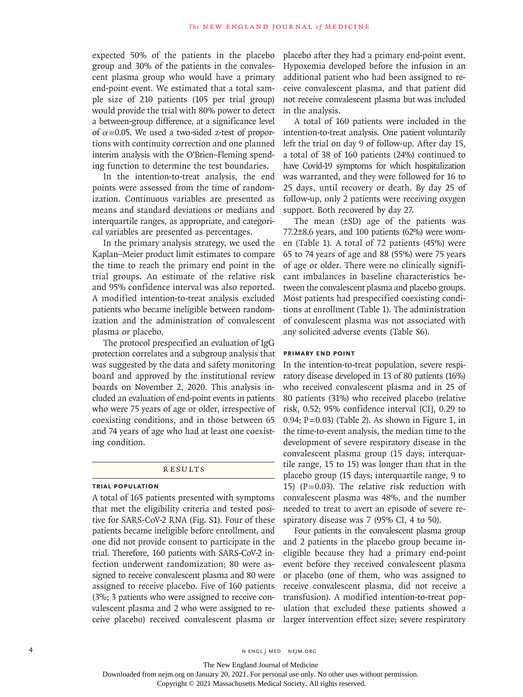expected 50% of the patients in the placebo group and 30% of the patients in the convalescent plasma group who would have a primary end-point event. We estimated that a total sample size of 210 patients (105 per trial group) would provide the trial with 80% power to detect a between-group difference, at a significance level of  $\alpha$ =0.05. We used a two-sided z-test of proportions with continuity correction and one planned interim analysis with the O'Brien–Fleming spending function to determine the test boundaries.

In the intention-to-treat analysis, the end points were assessed from the time of randomization. Continuous variables are presented as means and standard deviations or medians and interquartile ranges, as appropriate, and categorical variables are presented as percentages.

In the primary analysis strategy, we used the Kaplan–Meier product limit estimates to compare the time to reach the primary end point in the trial groups. An estimate of the relative risk and 95% confidence interval was also reported. A modified intention-to-treat analysis excluded patients who became ineligible between randomization and the administration of convalescent plasma or placebo.

The protocol prespecified an evaluation of IgG protection correlates and a subgroup analysis that was suggested by the data and safety monitoring board and approved by the institutional review boards on November 2, 2020. This analysis included an evaluation of end-point events in patients who were 75 years of age or older, irrespective of coexisting conditions, and in those between 65 and 74 years of age who had at least one coexisting condition.

### **RESULTS**

# **Trial Population**

A total of 165 patients presented with symptoms that met the eligibility criteria and tested positive for SARS-CoV-2 RNA (Fig. S1). Four of these patients became ineligible before enrollment, and one did not provide consent to participate in the trial. Therefore, 160 patients with SARS-CoV-2 infection underwent randomization; 80 were assigned to receive convalescent plasma and 80 were assigned to receive placebo. Five of 160 patients (3%; 3 patients who were assigned to receive convalescent plasma and 2 who were assigned to receive placebo) received convalescent plasma or

placebo after they had a primary end-point event. Hypoxemia developed before the infusion in an additional patient who had been assigned to receive convalescent plasma, and that patient did not receive convalescent plasma but was included in the analysis.

A total of 160 patients were included in the intention-to-treat analysis. One patient voluntarily left the trial on day 9 of follow-up. After day 15, a total of 38 of 160 patients (24%) continued to have Covid-19 symptoms for which hospitalization was warranted, and they were followed for 16 to 25 days, until recovery or death. By day 25 of follow-up, only 2 patients were receiving oxygen support. Both recovered by day 27.

The mean (±SD) age of the patients was 77.2±8.6 years, and 100 patients (62%) were women (Table 1). A total of 72 patients (45%) were 65 to 74 years of age and 88 (55%) were 75 years of age or older. There were no clinically significant imbalances in baseline characteristics between the convalescent plasma and placebo groups. Most patients had prespecified coexisting conditions at enrollment (Table 1). The administration of convalescent plasma was not associated with any solicited adverse events (Table S6).

## **Primary End Point**

In the intention-to-treat population, severe respiratory disease developed in 13 of 80 patients (16%) who received convalescent plasma and in 25 of 80 patients (31%) who received placebo (relative risk, 0.52; 95% confidence interval [CI], 0.29 to 0.94;  $P=0.03$ ) (Table 2). As shown in Figure 1, in the time-to-event analysis, the median time to the development of severe respiratory disease in the convalescent plasma group (15 days; interquartile range, 15 to 15) was longer than that in the placebo group (15 days; interquartile range, 9 to 15) ( $P=0.03$ ). The relative risk reduction with convalescent plasma was 48%, and the number needed to treat to avert an episode of severe respiratory disease was 7 (95% CI, 4 to 50).

Four patients in the convalescent plasma group and 2 patients in the placebo group became ineligible because they had a primary end-point event before they received convalescent plasma or placebo (one of them, who was assigned to receive convalescent plasma, did not receive a transfusion). A modified intention-to-treat population that excluded these patients showed a larger intervention effect size; severe respiratory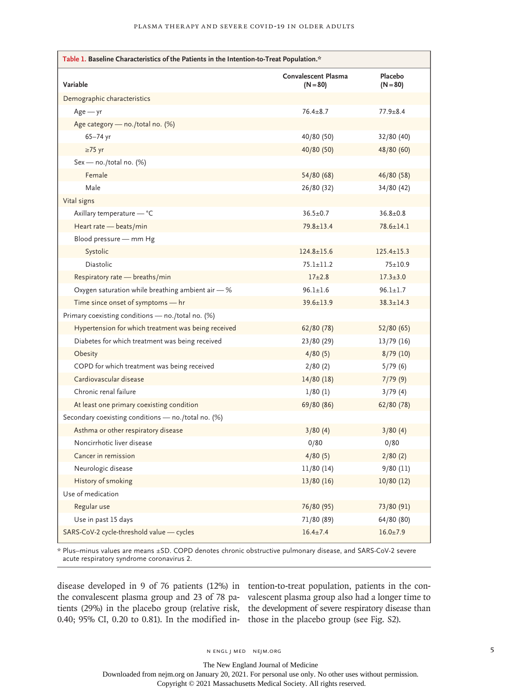| Table 1. Baseline Characteristics of the Patients in the Intention-to-Treat Population.* |                                          |                       |  |  |
|------------------------------------------------------------------------------------------|------------------------------------------|-----------------------|--|--|
| Variable                                                                                 | <b>Convalescent Plasma</b><br>$(N = 80)$ | Placebo<br>$(N = 80)$ |  |  |
| Demographic characteristics                                                              |                                          |                       |  |  |
| $Age - yr$                                                                               | $76.4 + 8.7$                             | $77.9 + 8.4$          |  |  |
| Age category - no./total no. (%)                                                         |                                          |                       |  |  |
| 65-74 yr                                                                                 | 40/80 (50)                               | 32/80 (40)            |  |  |
| $\geq$ 75 yr                                                                             | 40/80 (50)                               | 48/80 (60)            |  |  |
| Sex - no./total no. (%)                                                                  |                                          |                       |  |  |
| Female                                                                                   | 54/80 (68)                               | 46/80 (58)            |  |  |
| Male                                                                                     | 26/80 (32)                               | 34/80 (42)            |  |  |
| Vital signs                                                                              |                                          |                       |  |  |
| Axillary temperature - °C                                                                | $36.5 \pm 0.7$                           | $36.8 \pm 0.8$        |  |  |
| Heart rate - beats/min                                                                   | $79.8 \pm 13.4$                          | $78.6 \pm 14.1$       |  |  |
| Blood pressure - mm Hg                                                                   |                                          |                       |  |  |
| Systolic                                                                                 | $124.8 \pm 15.6$                         | $125.4 \pm 15.3$      |  |  |
| <b>Diastolic</b>                                                                         | $75.1 \pm 11.2$                          | $75 + 10.9$           |  |  |
| Respiratory rate - breaths/min                                                           | $17+2.8$                                 | $17.3 + 3.0$          |  |  |
| Oxygen saturation while breathing ambient air - %                                        | $96.1 \pm 1.6$                           | $96.1 \pm 1.7$        |  |  |
| Time since onset of symptoms - hr                                                        | $39.6 \pm 13.9$                          | $38.3 \pm 14.3$       |  |  |
| Primary coexisting conditions - no./total no. (%)                                        |                                          |                       |  |  |
| Hypertension for which treatment was being received                                      | 62/80 (78)                               | 52/80 (65)            |  |  |
| Diabetes for which treatment was being received                                          | 23/80 (29)                               | 13/79(16)             |  |  |
| Obesity                                                                                  | 4/80(5)                                  | 8/79(10)              |  |  |
| COPD for which treatment was being received                                              | 2/80(2)                                  | 5/79(6)               |  |  |
| Cardiovascular disease                                                                   | 14/80(18)                                | 7/79(9)               |  |  |
| Chronic renal failure                                                                    | 1/80(1)                                  | 3/79(4)               |  |  |
| At least one primary coexisting condition                                                | 69/80 (86)                               | 62/80 (78)            |  |  |
| Secondary coexisting conditions - no./total no. (%)                                      |                                          |                       |  |  |
| Asthma or other respiratory disease                                                      | 3/80(4)                                  | 3/80(4)               |  |  |
| Noncirrhotic liver disease                                                               | 0/80                                     | 0/80                  |  |  |
| Cancer in remission                                                                      | 4/80(5)                                  | 2/80(2)               |  |  |
| Neurologic disease                                                                       | 11/80 (14)                               | 9/80(11)              |  |  |
| <b>History of smoking</b>                                                                | 13/80 (16)                               | 10/80(12)             |  |  |
| Use of medication                                                                        |                                          |                       |  |  |
| Regular use                                                                              | 76/80 (95)                               | 73/80 (91)            |  |  |
| Use in past 15 days                                                                      | 71/80 (89)                               | 64/80 (80)            |  |  |
| SARS-CoV-2 cycle-threshold value - cycles                                                | $16.4 \pm 7.4$                           | $16.0 \pm 7.9$        |  |  |

\* Plus–minus values are means ±SD. COPD denotes chronic obstructive pulmonary disease, and SARS-CoV-2 severe acute respiratory syndrome coronavirus 2.

disease developed in 9 of 76 patients (12%) in tention-to-treat population, patients in the conthe convalescent plasma group and 23 of 78 pa-valescent plasma group also had a longer time to tients (29%) in the placebo group (relative risk, the development of severe respiratory disease than 0.40; 95% CI, 0.20 to 0.81). In the modified in-those in the placebo group (see Fig. S2).

The New England Journal of Medicine Downloaded from nejm.org on January 20, 2021. For personal use only. No other uses without permission.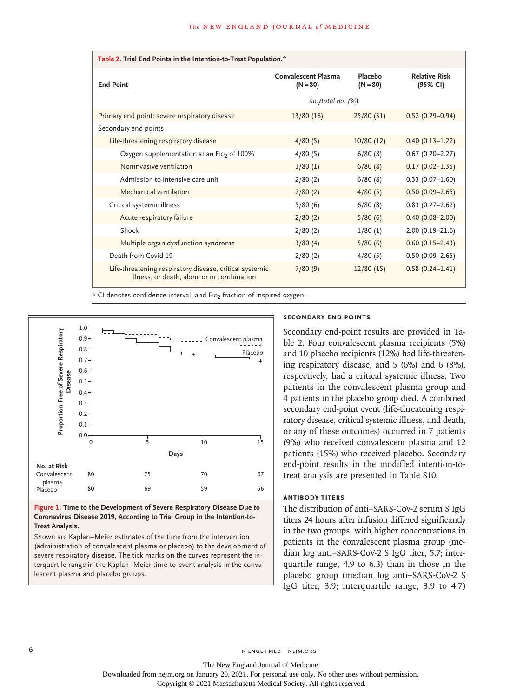| Table 2. Trial End Points in the Intention-to-Treat Population.*                                      |                                   |                       |                                  |  |  |
|-------------------------------------------------------------------------------------------------------|-----------------------------------|-----------------------|----------------------------------|--|--|
| <b>End Point</b>                                                                                      | Convalescent Plasma<br>$(N = 80)$ | Placebo<br>$(N = 80)$ | <b>Relative Risk</b><br>(95% CI) |  |  |
|                                                                                                       | $no. /total no.$ $(\%)$           |                       |                                  |  |  |
| Primary end point: severe respiratory disease                                                         | 13/80(16)                         | 25/80(31)             | $0.52(0.29 - 0.94)$              |  |  |
| Secondary end points                                                                                  |                                   |                       |                                  |  |  |
| Life-threatening respiratory disease                                                                  | 4/80(5)                           | 10/80(12)             | $0.40(0.13 - 1.22)$              |  |  |
| Oxygen supplementation at an Fio <sub>2</sub> of 100%                                                 | 4/80(5)                           | 6/80(8)               | $0.67(0.20 - 2.27)$              |  |  |
| Noninvasive ventilation                                                                               | 1/80(1)                           | 6/80(8)               | $0.17(0.02 - 1.35)$              |  |  |
| Admission to intensive care unit                                                                      | 2/80(2)                           | 6/80(8)               | $0.33(0.07-1.60)$                |  |  |
| Mechanical ventilation                                                                                | 2/80(2)                           | 4/80(5)               | $0.50(0.09 - 2.65)$              |  |  |
| Critical systemic illness                                                                             | 5/80(6)                           | 6/80(8)               | $0.83$ (0.27-2.62)               |  |  |
| Acute respiratory failure                                                                             | 2/80(2)                           | 5/80(6)               | $0.40(0.08 - 2.00)$              |  |  |
| Shock                                                                                                 | 2/80(2)                           | 1/80(1)               | $2.00(0.19 - 21.6)$              |  |  |
| Multiple organ dysfunction syndrome                                                                   | 3/80(4)                           | 5/80(6)               | $0.60(0.15 - 2.43)$              |  |  |
| Death from Covid-19                                                                                   | 2/80(2)                           | 4/80(5)               | $0.50(0.09 - 2.65)$              |  |  |
| Life-threatening respiratory disease, critical systemic<br>illness, or death, alone or in combination | 7/80(9)                           | 12/80(15)             | $0.58(0.24 - 1.41)$              |  |  |

\* CI denotes confidence interval, and F102 fraction of inspired oxygen.



**Figure 1. Time to the Development of Severe Respiratory Disease Due to Coronavirus Disease 2019, According to Trial Group in the Intention-to-Treat Analysis.**

Shown are Kaplan–Meier estimates of the time from the intervention (administration of convalescent plasma or placebo) to the development of severe respiratory disease. The tick marks on the curves represent the interquartile range in the Kaplan–Meier time-to-event analysis in the conva-

# **Secondary End Points**

Secondary end-point results are provided in Table 2. Four convalescent plasma recipients (5%) and 10 placebo recipients (12%) had life-threatening respiratory disease, and 5 (6%) and 6 (8%), respectively, had a critical systemic illness. Two patients in the convalescent plasma group and 4 patients in the placebo group died. A combined secondary end-point event (life-threatening respiratory disease, critical systemic illness, and death, or any of these outcomes) occurred in 7 patients (9%) who received convalescent plasma and 12 patients (15%) who received placebo. Secondary end-point results in the modified intention-totreat analysis are presented in Table S10.

# **Antibody Titers**

The distribution of anti–SARS-CoV-2 serum S IgG titers 24 hours after infusion differed significantly in the two groups, with higher concentrations in patients in the convalescent plasma group (median log anti–SARS-CoV-2 S IgG titer, 5.7; interquartile range, 4.9 to 6.3) than in those in the placebo group (median log anti–SARS-CoV-2 S IgG titer, 3.9; interquartile range, 3.9 to 4.7)

6 **n** engl j med nejm.org neighbors in the neutral media  $\frac{1}{2}$  media  $\frac{1}{2}$  media  $\frac{1}{2}$  media  $\frac{1}{2}$  media  $\frac{1}{2}$  media  $\frac{1}{2}$  media  $\frac{1}{2}$  media  $\frac{1}{2}$  media  $\frac{1}{2}$  media  $\frac{1}{2}$  media  $\frac{1$ 

The New England Journal of Medicine Downloaded from nejm.org on January 20, 2021. For personal use only. No other uses without permission.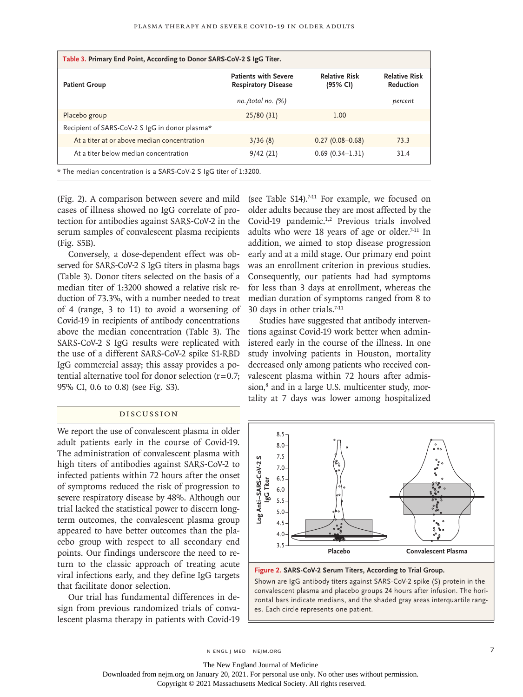| Table 3. Primary End Point, According to Donor SARS-CoV-2 S IgG Titer. |                                                           |                                  |                                          |  |
|------------------------------------------------------------------------|-----------------------------------------------------------|----------------------------------|------------------------------------------|--|
| <b>Patient Group</b>                                                   | <b>Patients with Severe</b><br><b>Respiratory Disease</b> | <b>Relative Risk</b><br>(95% CI) | <b>Relative Risk</b><br><b>Reduction</b> |  |
|                                                                        | $no. /total no.$ $(\%)$                                   |                                  | percent                                  |  |
| Placebo group                                                          | 25/80(31)                                                 | 1.00                             |                                          |  |
| Recipient of SARS-CoV-2 S IgG in donor plasma*                         |                                                           |                                  |                                          |  |
| At a titer at or above median concentration                            | 3/36(8)                                                   | $0.27(0.08 - 0.68)$              | 73.3                                     |  |
| At a titer below median concentration                                  | 9/42(21)                                                  | $0.69(0.34 - 1.31)$              | 31.4                                     |  |
| * The median concentration is a SARS-CoV-2 S IgG titer of 1:3200.      |                                                           |                                  |                                          |  |

(Fig. 2). A comparison between severe and mild cases of illness showed no IgG correlate of protection for antibodies against SARS-CoV-2 in the serum samples of convalescent plasma recipients (Fig. S5B).

Conversely, a dose-dependent effect was observed for SARS-CoV-2 S IgG titers in plasma bags (Table 3). Donor titers selected on the basis of a median titer of 1:3200 showed a relative risk reduction of 73.3%, with a number needed to treat of 4 (range, 3 to 11) to avoid a worsening of Covid-19 in recipients of antibody concentrations above the median concentration (Table 3). The SARS-CoV-2 S IgG results were replicated with the use of a different SARS-CoV-2 spike S1-RBD IgG commercial assay; this assay provides a potential alternative tool for donor selection  $(r=0.7;$ 95% CI, 0.6 to 0.8) (see Fig. S3).

#### Discussion

We report the use of convalescent plasma in older adult patients early in the course of Covid-19. The administration of convalescent plasma with high titers of antibodies against SARS-CoV-2 to infected patients within 72 hours after the onset of symptoms reduced the risk of progression to severe respiratory disease by 48%. Although our trial lacked the statistical power to discern longterm outcomes, the convalescent plasma group appeared to have better outcomes than the placebo group with respect to all secondary end points. Our findings underscore the need to return to the classic approach of treating acute viral infections early, and they define IgG targets that facilitate donor selection.

Our trial has fundamental differences in design from previous randomized trials of convalescent plasma therapy in patients with Covid-19 (see Table S14).<sup>7-11</sup> For example, we focused on older adults because they are most affected by the Covid-19 pandemic.<sup>1,2</sup> Previous trials involved adults who were 18 years of age or older. $7-11$  In addition, we aimed to stop disease progression early and at a mild stage. Our primary end point was an enrollment criterion in previous studies. Consequently, our patients had had symptoms for less than 3 days at enrollment, whereas the median duration of symptoms ranged from 8 to 30 days in other trials.<sup>7-11</sup>

Studies have suggested that antibody interventions against Covid-19 work better when administered early in the course of the illness. In one study involving patients in Houston, mortality decreased only among patients who received convalescent plasma within 72 hours after admission,<sup>8</sup> and in a large U.S. multicenter study, mortality at 7 days was lower among hospitalized



**Figure 2. SARS-CoV-2 Serum Titers, According to Trial Group.**

Shown are IgG antibody titers against SARS-CoV-2 spike (S) protein in the convalescent plasma and placebo groups 24 hours after infusion. The horizontal bars indicate medians, and the shaded gray areas interquartile rang-

n engl j med nejm.org 7

The New England Journal of Medicine

Downloaded from nejm.org on January 20, 2021. For personal use only. No other uses without permission.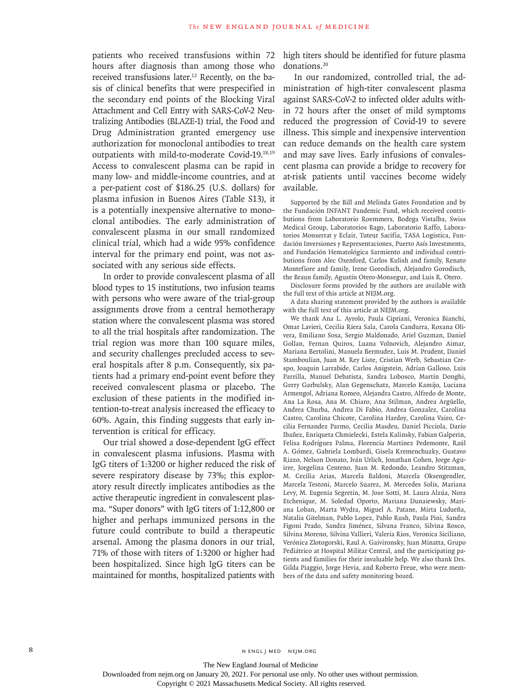patients who received transfusions within 72 hours after diagnosis than among those who received transfusions later.<sup>12</sup> Recently, on the basis of clinical benefits that were prespecified in the secondary end points of the Blocking Viral Attachment and Cell Entry with SARS-CoV-2 Neutralizing Antibodies (BLAZE-1) trial, the Food and Drug Administration granted emergency use authorization for monoclonal antibodies to treat outpatients with mild-to-moderate Covid-19.18,19 Access to convalescent plasma can be rapid in many low- and middle-income countries, and at a per-patient cost of \$186.25 (U.S. dollars) for plasma infusion in Buenos Aires (Table S13), it is a potentially inexpensive alternative to monoclonal antibodies. The early administration of convalescent plasma in our small randomized clinical trial, which had a wide 95% confidence interval for the primary end point, was not associated with any serious side effects.

In order to provide convalescent plasma of all blood types to 15 institutions, two infusion teams with persons who were aware of the trial-group assignments drove from a central hemotherapy station where the convalescent plasma was stored to all the trial hospitals after randomization. The trial region was more than 100 square miles, and security challenges precluded access to several hospitals after 8 p.m. Consequently, six patients had a primary end-point event before they received convalescent plasma or placebo. The exclusion of these patients in the modified intention-to-treat analysis increased the efficacy to 60%. Again, this finding suggests that early intervention is critical for efficacy.

Our trial showed a dose-dependent IgG effect in convalescent plasma infusions. Plasma with IgG titers of 1:3200 or higher reduced the risk of severe respiratory disease by 73%; this exploratory result directly implicates antibodies as the active therapeutic ingredient in convalescent plasma. "Super donors" with IgG titers of 1:12,800 or higher and perhaps immunized persons in the future could contribute to build a therapeutic arsenal. Among the plasma donors in our trial, 71% of those with titers of 1:3200 or higher had been hospitalized. Since high IgG titers can be maintained for months, hospitalized patients with

high titers should be identified for future plasma donations.20

In our randomized, controlled trial, the administration of high-titer convalescent plasma against SARS-CoV-2 to infected older adults within 72 hours after the onset of mild symptoms reduced the progression of Covid-19 to severe illness. This simple and inexpensive intervention can reduce demands on the health care system and may save lives. Early infusions of convalescent plasma can provide a bridge to recovery for at-risk patients until vaccines become widely available.

Supported by the Bill and Melinda Gates Foundation and by the Fundación INFANT Pandemic Fund, which received contributions from Laboratorio Roemmers, Bodega Vistalba, Swiss Medical Group, Laboratorios Bago, Laboratorio Raffo, Laboratorios Monserrat y Eclair, Tuteur Sacifia, TASA Logistica, Fundación Inversiones y Representaciones, Puerto Asís Investments, and Fundación Hematológica Sarmiento and individual contributions from Alec Oxenford, Carlos Kulish and family, Renato Montefiore and family, Irene Gorodisch, Alejandro Gorodisch, the Braun family, Agustín Otero-Monsegur, and Luis R. Otero.

Disclosure forms provided by the authors are available with the full text of this article at NEJM.org.

A data sharing statement provided by the authors is available with the full text of this article at NEJM.org.

We thank Ana L. Ayrolo, Paula Cipriani, Veronica Bianchi, Omar Lavieri, Cecilia Riera Sala, Carola Candurra, Roxana Olivera, Emiliano Sosa, Sergio Maldonado, Ariel Guzman, Daniel Gollan, Fernan Quiros, Luana Volnovich, Alejandro Aimar, Mariana Bertolini, Manuela Bermudez, Luis M. Prudent, Daniel Stamboulian, Juan M. Rey Liste, Cristian Werb, Sebastian Crespo, Joaquin Larrabide, Carlos Anigstein, Adrian Galloso, Luis Parrilla, Manuel Debatista, Sandra Lobosco, Martin Donghi, Gerry Garbulsky, Alan Gegenschatz, Marcelo Kamijo, Luciana Armengol, Adriana Romeo, Alejandra Castro, Alfredo de Monte, Ana La Rosa, Ana M. Chiaro, Ana Stilman, Andrea Argüello, Andrea Churba, Andrea Di Fabio, Andrea Gonzalez, Carolina Castro, Carolina Chicote, Carolina Hardoy, Carolina Vairo, Cecilia Fernandez Parmo, Cecilia Masdeu, Daniel Picciola, Darío Ibañez, Enriqueta Chmielecki, Estela Kalinsky, Fabian Galperin, Felisa Rodríguez Palma, Florencia Martinez Pedemonte, Raúl A. Gómez, Gabriela Lombardi, Gisela Kremenchuzky, Gustavo Rizzo, Nelson Donato, Iván Urlich, Jonathan Cohen, Jorge Aguirre, Jorgelina Centeno, Juan M. Redondo, Leandro Stitzman, M. Cecilia Arias, Marcela Baldoni, Marcela Oksengendler, Marcela Testoni, Marcelo Suarez, M. Mercedes Solis, Mariana Levy, M. Eugenia Segretin, M. Jose Sotti, M. Laura Alzúa, Nora Etchenique, M. Soledad Oporto, Mariana Dunaiewsky, Mariana Loban, Marta Wydra, Miguel A. Patane, Mirta Ludueña, Natalia Gitelman, Pablo Lopez, Pablo Rush, Paula Pini, Sandra Figoni Prado, Sandra Jiménez, Silvana Franco, Silvina Bosco, Silvina Moreno, Silvina Vallieri, Valeria Rios, Veronica Siciliano, Verónica Zlotogorski, Raul A. Gaivironsky, Juan Minatta, Grupo Pediátrico at Hospital Militar Central, and the participating patients and families for their invaluable help. We also thank Drs. Gilda Piaggio, Jorge Hevia, and Roberto Freue, who were members of the data and safety monitoring board.

The New England Journal of Medicine

Downloaded from nejm.org on January 20, 2021. For personal use only. No other uses without permission.